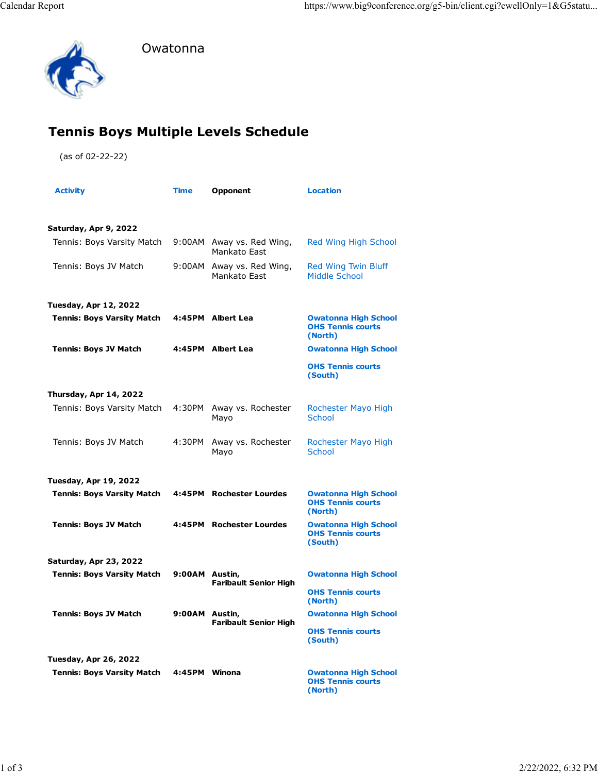

Owatonna

## **Tennis Boys Multiple Levels Schedule**

(as of 02-22-22)

| <b>Activity</b>                   | <b>Time</b>    | Opponent                                  | <b>Location</b>                                                    |
|-----------------------------------|----------------|-------------------------------------------|--------------------------------------------------------------------|
|                                   |                |                                           |                                                                    |
| Saturday, Apr 9, 2022             |                |                                           |                                                                    |
| Tennis: Boys Varsity Match        | 9:00AM         | Away vs. Red Wing,<br>Mankato East        | Red Wing High School                                               |
| Tennis: Boys JV Match             |                | 9:00AM Away vs. Red Wing,<br>Mankato East | Red Wing Twin Bluff<br>Middle School                               |
| Tuesday, Apr 12, 2022             |                |                                           |                                                                    |
| <b>Tennis: Boys Varsity Match</b> |                | 4:45PM Albert Lea                         | <b>Owatonna High School</b><br><b>OHS Tennis courts</b><br>(North) |
| <b>Tennis: Boys JV Match</b>      |                | 4:45PM Albert Lea                         | <b>Owatonna High School</b>                                        |
|                                   |                |                                           | <b>OHS Tennis courts</b><br>(South)                                |
| Thursday, Apr 14, 2022            |                |                                           |                                                                    |
| Tennis: Boys Varsity Match        | 4:30PM         | Away vs. Rochester<br>Mayo                | Rochester Mayo High<br><b>School</b>                               |
| Tennis: Boys JV Match             | 4:30PM         | Away vs. Rochester<br>Mayo                | Rochester Mayo High<br><b>School</b>                               |
| Tuesday, Apr 19, 2022             |                |                                           |                                                                    |
| <b>Tennis: Boys Varsity Match</b> |                | 4:45PM Rochester Lourdes                  | <b>Owatonna High School</b><br><b>OHS Tennis courts</b><br>(North) |
| <b>Tennis: Boys JV Match</b>      |                | 4:45PM Rochester Lourdes                  | <b>Owatonna High School</b><br><b>OHS Tennis courts</b><br>(South) |
| Saturday, Apr 23, 2022            |                |                                           |                                                                    |
| <b>Tennis: Boys Varsity Match</b> | 9:00AM Austin, | <b>Faribault Senior High</b>              | <b>Owatonna High School</b>                                        |
|                                   |                |                                           | <b>OHS Tennis courts</b><br>(North)                                |
| <b>Tennis: Boys JV Match</b>      | 9:00AM Austin, | <b>Faribault Senior High</b>              | <b>Owatonna High School</b>                                        |
|                                   |                |                                           | <b>OHS Tennis courts</b><br>(South)                                |
| Tuesday, Apr 26, 2022             |                |                                           |                                                                    |
| <b>Tennis: Boys Varsity Match</b> | 4:45PM Winona  |                                           | <b>Owatonna High School</b><br><b>OHS Tennis courts</b><br>(North) |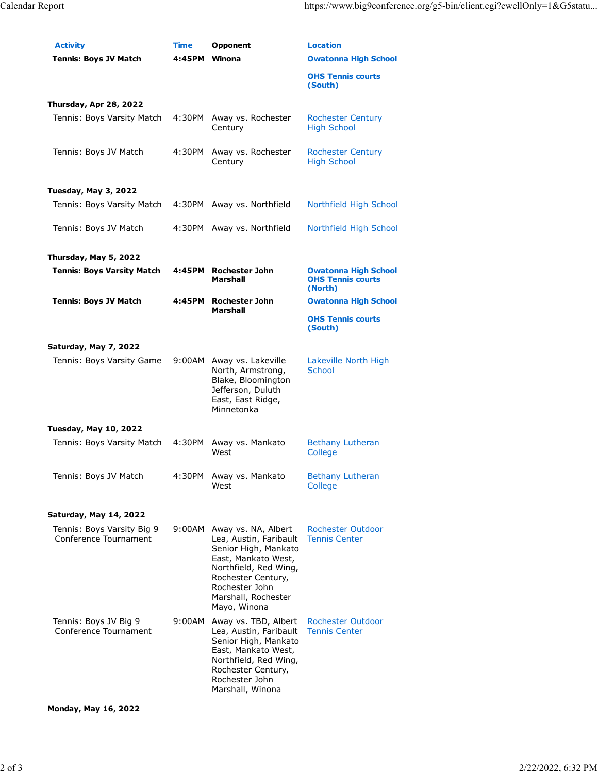| <b>Activity</b><br><b>Tennis: Boys JV Match</b>     | Time<br>4:45PM Winona | Opponent                                                                                                                                                                                             | <b>Location</b><br><b>Owatonna High School</b>                     |
|-----------------------------------------------------|-----------------------|------------------------------------------------------------------------------------------------------------------------------------------------------------------------------------------------------|--------------------------------------------------------------------|
|                                                     |                       |                                                                                                                                                                                                      | <b>OHS Tennis courts</b><br>(South)                                |
| Thursday, Apr 28, 2022                              |                       |                                                                                                                                                                                                      |                                                                    |
| Tennis: Boys Varsity Match                          | 4:30PM                | Away vs. Rochester<br>Century                                                                                                                                                                        | <b>Rochester Century</b><br><b>High School</b>                     |
| Tennis: Boys JV Match                               | 4:30PM                | Away vs. Rochester<br>Century                                                                                                                                                                        | <b>Rochester Century</b><br><b>High School</b>                     |
| Tuesday, May 3, 2022                                |                       |                                                                                                                                                                                                      |                                                                    |
| Tennis: Boys Varsity Match                          |                       | 4:30PM Away vs. Northfield                                                                                                                                                                           | Northfield High School                                             |
| Tennis: Boys JV Match                               | 4:30PM                | Away vs. Northfield                                                                                                                                                                                  | Northfield High School                                             |
| Thursday, May 5, 2022                               |                       |                                                                                                                                                                                                      |                                                                    |
| <b>Tennis: Boys Varsity Match</b>                   | 4:45PM                | <b>Rochester John</b><br>Marshall                                                                                                                                                                    | <b>Owatonna High School</b><br><b>OHS Tennis courts</b><br>(North) |
| <b>Tennis: Boys JV Match</b>                        | 4:45PM                | <b>Rochester John</b>                                                                                                                                                                                | <b>Owatonna High School</b>                                        |
|                                                     |                       | Marshall                                                                                                                                                                                             | <b>OHS Tennis courts</b><br>(South)                                |
| Saturday, May 7, 2022                               |                       |                                                                                                                                                                                                      |                                                                    |
| Tennis: Boys Varsity Game                           | 9:00AM                | Away vs. Lakeville<br>North, Armstrong,<br>Blake, Bloomington<br>Jefferson, Duluth<br>East, East Ridge,<br>Minnetonka                                                                                | Lakeville North High<br>School                                     |
| <b>Tuesday, May 10, 2022</b>                        |                       |                                                                                                                                                                                                      |                                                                    |
| Tennis: Boys Varsity Match                          | 4:30PM                | Away vs. Mankato<br>West                                                                                                                                                                             | <b>Bethany Lutheran</b><br>College                                 |
| Tennis: Boys JV Match                               | 4:30PM                | Away vs. Mankato<br>West                                                                                                                                                                             | <b>Bethany Lutheran</b><br>College                                 |
|                                                     |                       |                                                                                                                                                                                                      |                                                                    |
| Saturday, May 14, 2022                              |                       |                                                                                                                                                                                                      |                                                                    |
| Tennis: Boys Varsity Big 9<br>Conference Tournament | 9:00AM                | Away vs. NA, Albert<br>Lea, Austin, Faribault<br>Senior High, Mankato<br>East, Mankato West,<br>Northfield, Red Wing,<br>Rochester Century,<br>Rochester John<br>Marshall, Rochester<br>Mayo, Winona | <b>Rochester Outdoor</b><br><b>Tennis Center</b>                   |
| Tennis: Boys JV Big 9<br>Conference Tournament      | 9:00AM                | Away vs. TBD, Albert<br>Lea, Austin, Faribault<br>Senior High, Mankato<br>East, Mankato West,<br>Northfield, Red Wing,<br>Rochester Century,<br>Rochester John<br>Marshall, Winona                   | <b>Rochester Outdoor</b><br><b>Tennis Center</b>                   |

**Monday, May 16, 2022**